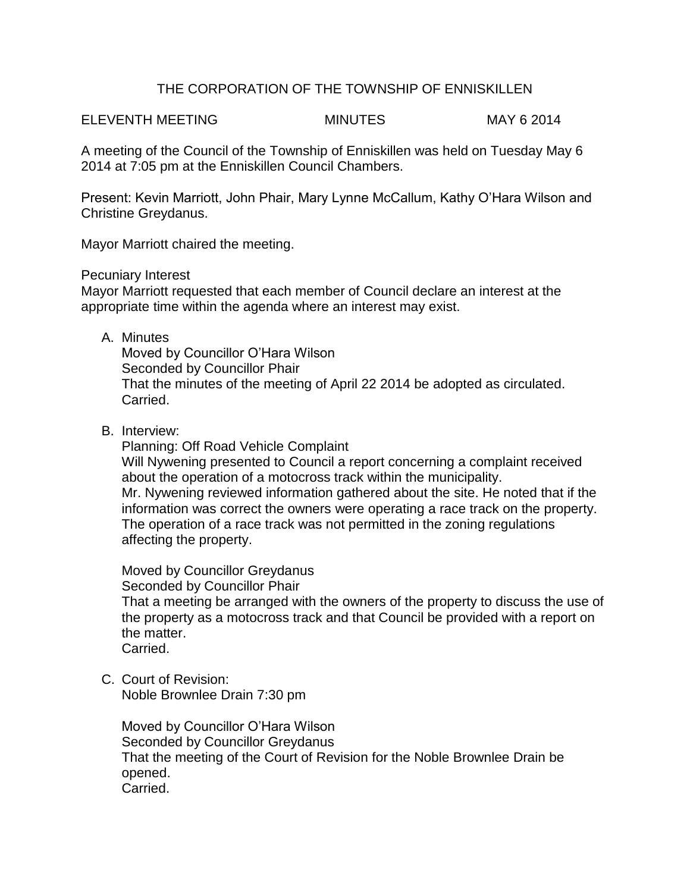# THE CORPORATION OF THE TOWNSHIP OF ENNISKILLEN

ELEVENTH MEETING MINUTES MAY 6 2014

A meeting of the Council of the Township of Enniskillen was held on Tuesday May 6 2014 at 7:05 pm at the Enniskillen Council Chambers.

Present: Kevin Marriott, John Phair, Mary Lynne McCallum, Kathy O'Hara Wilson and Christine Greydanus.

Mayor Marriott chaired the meeting.

Pecuniary Interest

Mayor Marriott requested that each member of Council declare an interest at the appropriate time within the agenda where an interest may exist.

A. Minutes

Moved by Councillor O'Hara Wilson Seconded by Councillor Phair That the minutes of the meeting of April 22 2014 be adopted as circulated. Carried.

B. Interview:

Planning: Off Road Vehicle Complaint Will Nywening presented to Council a report concerning a complaint received about the operation of a motocross track within the municipality. Mr. Nywening reviewed information gathered about the site. He noted that if the information was correct the owners were operating a race track on the property. The operation of a race track was not permitted in the zoning regulations affecting the property.

Moved by Councillor Greydanus

Seconded by Councillor Phair

That a meeting be arranged with the owners of the property to discuss the use of the property as a motocross track and that Council be provided with a report on the matter.

Carried.

C. Court of Revision:

Noble Brownlee Drain 7:30 pm

Moved by Councillor O'Hara Wilson Seconded by Councillor Greydanus That the meeting of the Court of Revision for the Noble Brownlee Drain be opened. Carried.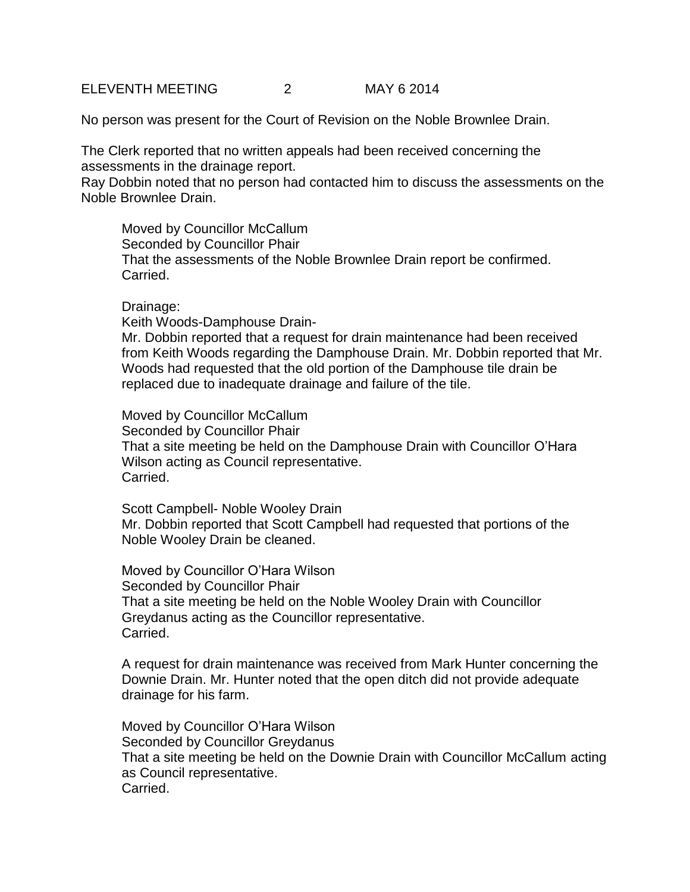ELEVENTH MEETING 2 MAY 6 2014

No person was present for the Court of Revision on the Noble Brownlee Drain.

The Clerk reported that no written appeals had been received concerning the assessments in the drainage report.

Ray Dobbin noted that no person had contacted him to discuss the assessments on the Noble Brownlee Drain.

Moved by Councillor McCallum Seconded by Councillor Phair That the assessments of the Noble Brownlee Drain report be confirmed. Carried.

### Drainage:

Keith Woods-Damphouse Drain-

Mr. Dobbin reported that a request for drain maintenance had been received from Keith Woods regarding the Damphouse Drain. Mr. Dobbin reported that Mr. Woods had requested that the old portion of the Damphouse tile drain be replaced due to inadequate drainage and failure of the tile.

Moved by Councillor McCallum Seconded by Councillor Phair That a site meeting be held on the Damphouse Drain with Councillor O'Hara Wilson acting as Council representative. Carried.

Scott Campbell- Noble Wooley Drain Mr. Dobbin reported that Scott Campbell had requested that portions of the Noble Wooley Drain be cleaned.

Moved by Councillor O'Hara Wilson Seconded by Councillor Phair That a site meeting be held on the Noble Wooley Drain with Councillor Greydanus acting as the Councillor representative. Carried.

A request for drain maintenance was received from Mark Hunter concerning the Downie Drain. Mr. Hunter noted that the open ditch did not provide adequate drainage for his farm.

Moved by Councillor O'Hara Wilson Seconded by Councillor Greydanus That a site meeting be held on the Downie Drain with Councillor McCallum acting as Council representative. Carried.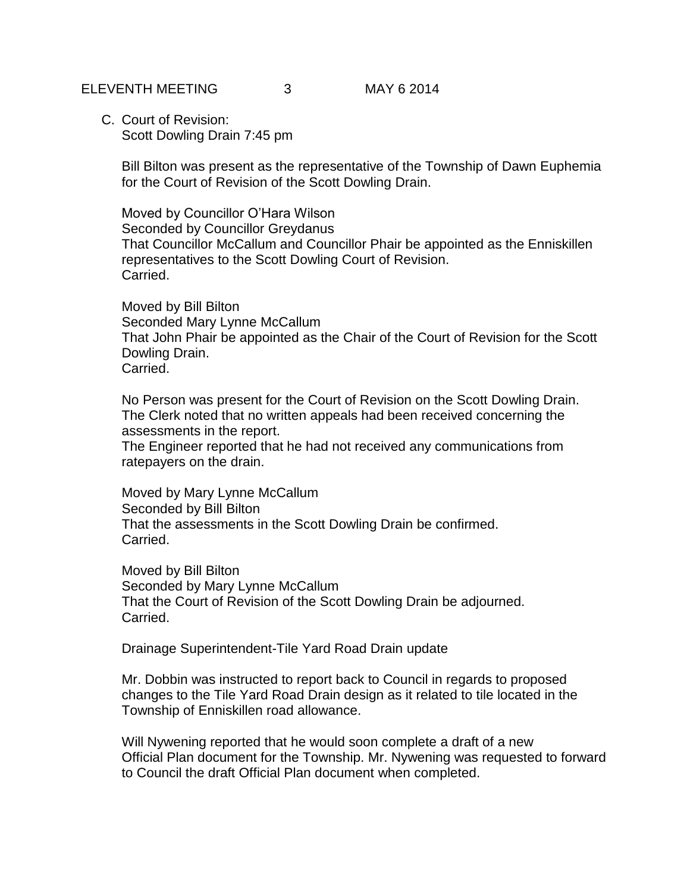C. Court of Revision: Scott Dowling Drain 7:45 pm

> Bill Bilton was present as the representative of the Township of Dawn Euphemia for the Court of Revision of the Scott Dowling Drain.

Moved by Councillor O'Hara Wilson Seconded by Councillor Greydanus That Councillor McCallum and Councillor Phair be appointed as the Enniskillen representatives to the Scott Dowling Court of Revision. Carried.

Moved by Bill Bilton Seconded Mary Lynne McCallum That John Phair be appointed as the Chair of the Court of Revision for the Scott Dowling Drain. Carried.

No Person was present for the Court of Revision on the Scott Dowling Drain. The Clerk noted that no written appeals had been received concerning the assessments in the report.

The Engineer reported that he had not received any communications from ratepayers on the drain.

Moved by Mary Lynne McCallum Seconded by Bill Bilton That the assessments in the Scott Dowling Drain be confirmed. Carried.

Moved by Bill Bilton Seconded by Mary Lynne McCallum That the Court of Revision of the Scott Dowling Drain be adjourned. Carried.

Drainage Superintendent-Tile Yard Road Drain update

Mr. Dobbin was instructed to report back to Council in regards to proposed changes to the Tile Yard Road Drain design as it related to tile located in the Township of Enniskillen road allowance.

Will Nywening reported that he would soon complete a draft of a new Official Plan document for the Township. Mr. Nywening was requested to forward to Council the draft Official Plan document when completed.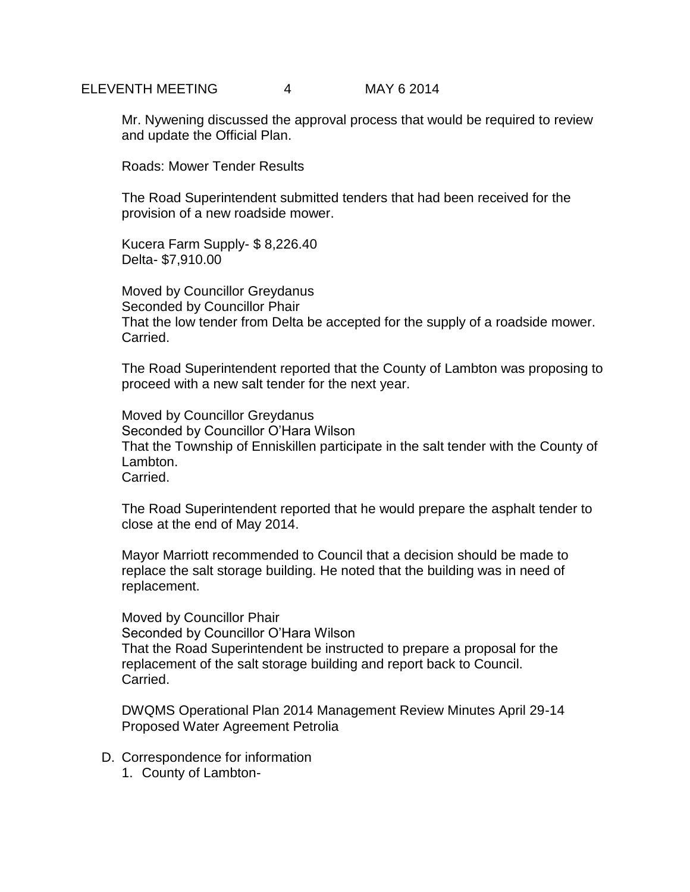#### ELEVENTH MEETING 4 MAY 6 2014

Mr. Nywening discussed the approval process that would be required to review and update the Official Plan.

Roads: Mower Tender Results

The Road Superintendent submitted tenders that had been received for the provision of a new roadside mower.

Kucera Farm Supply- \$ 8,226.40 Delta- \$7,910.00

Moved by Councillor Greydanus Seconded by Councillor Phair That the low tender from Delta be accepted for the supply of a roadside mower. Carried.

The Road Superintendent reported that the County of Lambton was proposing to proceed with a new salt tender for the next year.

Moved by Councillor Greydanus Seconded by Councillor O'Hara Wilson That the Township of Enniskillen participate in the salt tender with the County of Lambton. Carried.

The Road Superintendent reported that he would prepare the asphalt tender to close at the end of May 2014.

Mayor Marriott recommended to Council that a decision should be made to replace the salt storage building. He noted that the building was in need of replacement.

Moved by Councillor Phair Seconded by Councillor O'Hara Wilson That the Road Superintendent be instructed to prepare a proposal for the replacement of the salt storage building and report back to Council. Carried.

DWQMS Operational Plan 2014 Management Review Minutes April 29-14 Proposed Water Agreement Petrolia

- D. Correspondence for information
	- 1. County of Lambton-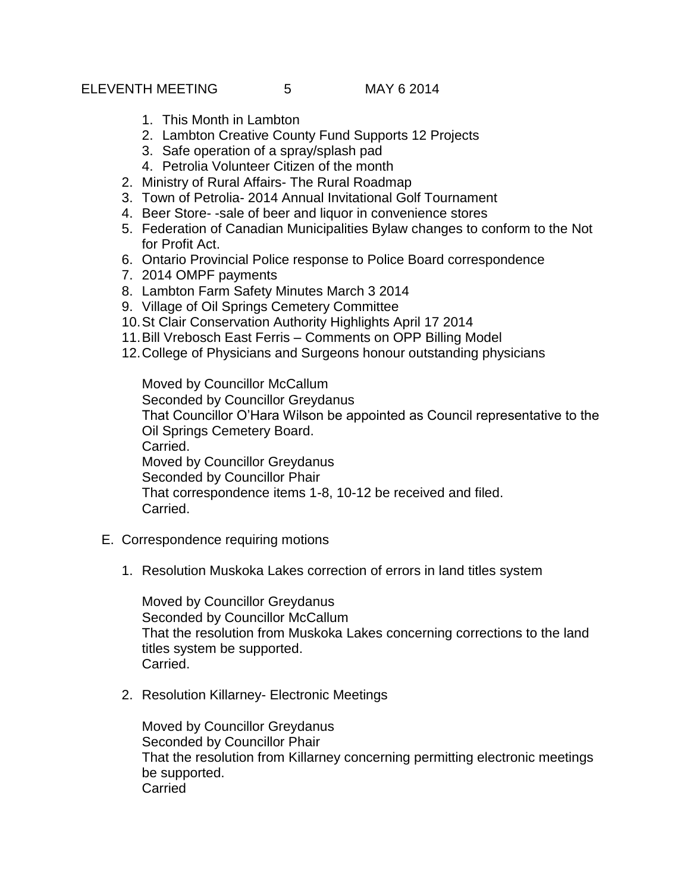- 1. This Month in Lambton
- 2. Lambton Creative County Fund Supports 12 Projects
- 3. Safe operation of a spray/splash pad
- 4. Petrolia Volunteer Citizen of the month
- 2. Ministry of Rural Affairs- The Rural Roadmap
- 3. Town of Petrolia- 2014 Annual Invitational Golf Tournament
- 4. Beer Store- -sale of beer and liquor in convenience stores
- 5. Federation of Canadian Municipalities Bylaw changes to conform to the Not for Profit Act.
- 6. Ontario Provincial Police response to Police Board correspondence
- 7. 2014 OMPF payments
- 8. Lambton Farm Safety Minutes March 3 2014
- 9. Village of Oil Springs Cemetery Committee
- 10.St Clair Conservation Authority Highlights April 17 2014
- 11.Bill Vrebosch East Ferris Comments on OPP Billing Model
- 12.College of Physicians and Surgeons honour outstanding physicians

Moved by Councillor McCallum Seconded by Councillor Greydanus That Councillor O'Hara Wilson be appointed as Council representative to the Oil Springs Cemetery Board. Carried. Moved by Councillor Greydanus Seconded by Councillor Phair That correspondence items 1-8, 10-12 be received and filed. Carried.

- E. Correspondence requiring motions
	- 1. Resolution Muskoka Lakes correction of errors in land titles system

Moved by Councillor Greydanus Seconded by Councillor McCallum That the resolution from Muskoka Lakes concerning corrections to the land titles system be supported. Carried.

2. Resolution Killarney- Electronic Meetings

Moved by Councillor Greydanus Seconded by Councillor Phair That the resolution from Killarney concerning permitting electronic meetings be supported. **Carried**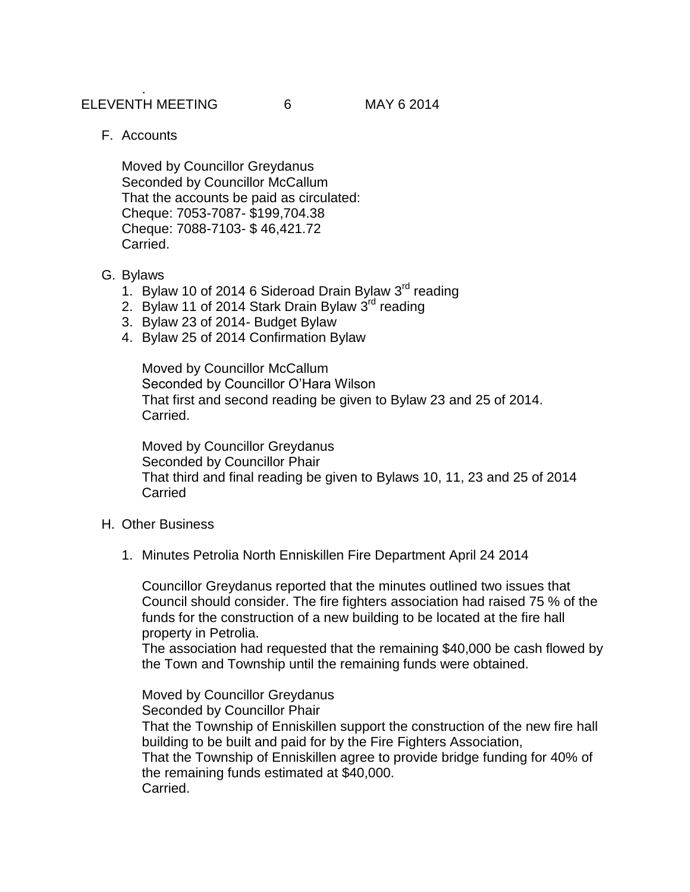F. Accounts

Moved by Councillor Greydanus Seconded by Councillor McCallum That the accounts be paid as circulated: Cheque: 7053-7087- \$199,704.38 Cheque: 7088-7103- \$ 46,421.72 Carried.

- G. Bylaws
	- 1. Bylaw 10 of 2014 6 Sideroad Drain Bylaw 3<sup>rd</sup> reading
	- 2. Bylaw 11 of 2014 Stark Drain Bylaw 3<sup>rd</sup> reading
	- 3. Bylaw 23 of 2014- Budget Bylaw
	- 4. Bylaw 25 of 2014 Confirmation Bylaw

Moved by Councillor McCallum Seconded by Councillor O'Hara Wilson That first and second reading be given to Bylaw 23 and 25 of 2014. Carried.

Moved by Councillor Greydanus Seconded by Councillor Phair That third and final reading be given to Bylaws 10, 11, 23 and 25 of 2014 **Carried** 

- H. Other Business
	- 1. Minutes Petrolia North Enniskillen Fire Department April 24 2014

Councillor Greydanus reported that the minutes outlined two issues that Council should consider. The fire fighters association had raised 75 % of the funds for the construction of a new building to be located at the fire hall property in Petrolia.

The association had requested that the remaining \$40,000 be cash flowed by the Town and Township until the remaining funds were obtained.

Moved by Councillor Greydanus Seconded by Councillor Phair That the Township of Enniskillen support the construction of the new fire hall building to be built and paid for by the Fire Fighters Association, That the Township of Enniskillen agree to provide bridge funding for 40% of the remaining funds estimated at \$40,000. Carried.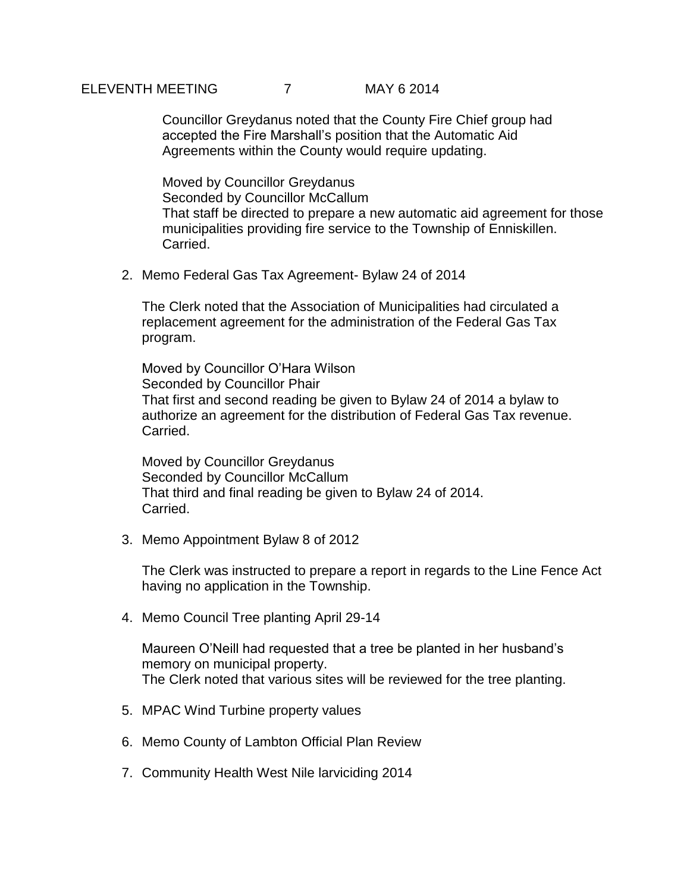# ELEVENTH MEETING 7 MAY 6 2014

Councillor Greydanus noted that the County Fire Chief group had accepted the Fire Marshall's position that the Automatic Aid Agreements within the County would require updating.

Moved by Councillor Greydanus Seconded by Councillor McCallum That staff be directed to prepare a new automatic aid agreement for those municipalities providing fire service to the Township of Enniskillen. Carried.

2. Memo Federal Gas Tax Agreement- Bylaw 24 of 2014

The Clerk noted that the Association of Municipalities had circulated a replacement agreement for the administration of the Federal Gas Tax program.

Moved by Councillor O'Hara Wilson Seconded by Councillor Phair That first and second reading be given to Bylaw 24 of 2014 a bylaw to authorize an agreement for the distribution of Federal Gas Tax revenue. Carried.

Moved by Councillor Greydanus Seconded by Councillor McCallum That third and final reading be given to Bylaw 24 of 2014. Carried.

3. Memo Appointment Bylaw 8 of 2012

The Clerk was instructed to prepare a report in regards to the Line Fence Act having no application in the Township.

4. Memo Council Tree planting April 29-14

Maureen O'Neill had requested that a tree be planted in her husband's memory on municipal property. The Clerk noted that various sites will be reviewed for the tree planting.

- 5. MPAC Wind Turbine property values
- 6. Memo County of Lambton Official Plan Review
- 7. Community Health West Nile larviciding 2014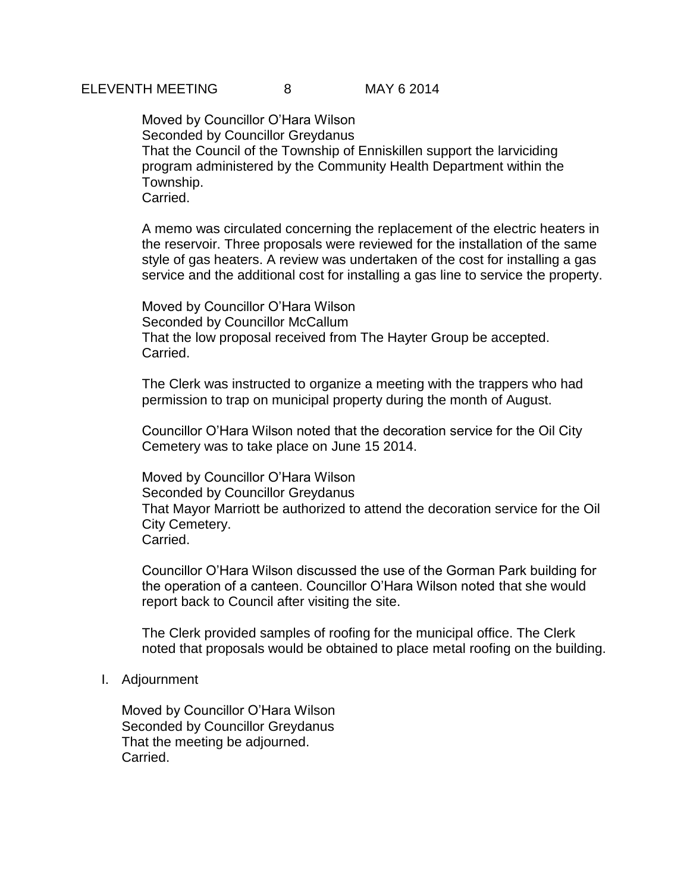Moved by Councillor O'Hara Wilson Seconded by Councillor Greydanus That the Council of the Township of Enniskillen support the larviciding program administered by the Community Health Department within the Township. Carried.

A memo was circulated concerning the replacement of the electric heaters in the reservoir. Three proposals were reviewed for the installation of the same style of gas heaters. A review was undertaken of the cost for installing a gas service and the additional cost for installing a gas line to service the property.

Moved by Councillor O'Hara Wilson Seconded by Councillor McCallum That the low proposal received from The Hayter Group be accepted. Carried.

The Clerk was instructed to organize a meeting with the trappers who had permission to trap on municipal property during the month of August.

Councillor O'Hara Wilson noted that the decoration service for the Oil City Cemetery was to take place on June 15 2014.

Moved by Councillor O'Hara Wilson Seconded by Councillor Greydanus That Mayor Marriott be authorized to attend the decoration service for the Oil City Cemetery. Carried.

Councillor O'Hara Wilson discussed the use of the Gorman Park building for the operation of a canteen. Councillor O'Hara Wilson noted that she would report back to Council after visiting the site.

The Clerk provided samples of roofing for the municipal office. The Clerk noted that proposals would be obtained to place metal roofing on the building.

#### I. Adjournment

Moved by Councillor O'Hara Wilson Seconded by Councillor Greydanus That the meeting be adjourned. Carried.